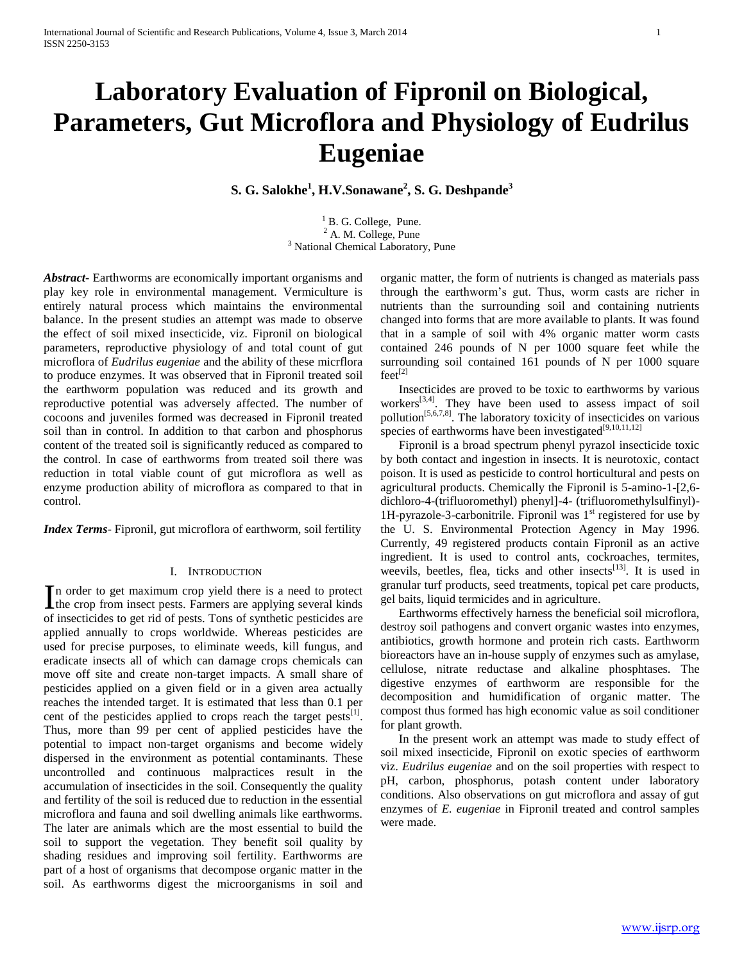# **Laboratory Evaluation of Fipronil on Biological, Parameters, Gut Microflora and Physiology of Eudrilus Eugeniae**

**S. G. Salokhe<sup>1</sup> , H.V.Sonawane<sup>2</sup> , S. G. Deshpande<sup>3</sup>**

<sup>1</sup> B. G. College, Pune.  $2$  A. M. College, Pune <sup>3</sup> National Chemical Laboratory, Pune

*Abstract***-** Earthworms are economically important organisms and play key role in environmental management. Vermiculture is entirely natural process which maintains the environmental balance. In the present studies an attempt was made to observe the effect of soil mixed insecticide, viz. Fipronil on biological parameters, reproductive physiology of and total count of gut microflora of *Eudrilus eugeniae* and the ability of these micrflora to produce enzymes. It was observed that in Fipronil treated soil the earthworm population was reduced and its growth and reproductive potential was adversely affected. The number of cocoons and juveniles formed was decreased in Fipronil treated soil than in control. In addition to that carbon and phosphorus content of the treated soil is significantly reduced as compared to the control. In case of earthworms from treated soil there was reduction in total viable count of gut microflora as well as enzyme production ability of microflora as compared to that in control.

*Index Terms*- Fipronil, gut microflora of earthworm, soil fertility

## I. INTRODUCTION

n order to get maximum crop yield there is a need to protect In order to get maximum crop yield there is a need to protect<br>the crop from insect pests. Farmers are applying several kinds of insecticides to get rid of pests. Tons of synthetic pesticides are applied annually to crops worldwide. Whereas pesticides are used for precise purposes, to eliminate weeds, kill fungus, and eradicate insects all of which can damage crops chemicals can move off site and create non-target impacts. A small share of pesticides applied on a given field or in a given area actually reaches the intended target. It is estimated that less than 0.1 per cent of the pesticides applied to crops reach the target pests<sup>[1]</sup>. Thus, more than 99 per cent of applied pesticides have the potential to impact non-target organisms and become widely dispersed in the environment as potential contaminants. These uncontrolled and continuous malpractices result in the accumulation of insecticides in the soil. Consequently the quality and fertility of the soil is reduced due to reduction in the essential microflora and fauna and soil dwelling animals like earthworms. The later are animals which are the most essential to build the soil to support the vegetation. They benefit soil quality by shading residues and improving soil fertility. Earthworms are part of a host of organisms that decompose organic matter in the soil. As earthworms digest the microorganisms in soil and

organic matter, the form of nutrients is changed as materials pass through the earthworm's gut. Thus, worm casts are richer in nutrients than the surrounding soil and containing nutrients changed into forms that are more available to plants. It was found that in a sample of soil with 4% organic matter worm casts contained 246 pounds of N per 1000 square feet while the surrounding soil contained 161 pounds of N per 1000 square  $f$ eet<sup>[2]</sup>

 Insecticides are proved to be toxic to earthworms by various workers<sup>[3,4]</sup>. They have been used to assess impact of soil pollution<sup>[5,6,7,8]</sup>. The laboratory toxicity of insecticides on various species of earthworms have been investigated $[9,10,11,12]$ 

 Fipronil is a broad spectrum phenyl pyrazol insecticide toxic by both contact and ingestion in insects. It is neurotoxic, contact poison. It is used as pesticide to control horticultural and pests on agricultural products. Chemically the Fipronil is 5-amino-1-[2,6 dichloro-4-(trifluoromethyl) phenyl]-4- (trifluoromethylsulfinyl)- 1H-pyrazole-3-carbonitrile. Fipronil was  $1<sup>st</sup>$  registered for use by the U. S. Environmental Protection Agency in May 1996. Currently, 49 registered products contain Fipronil as an active ingredient. It is used to control ants, cockroaches, termites, weevils, beetles, flea, ticks and other insects<sup>[13]</sup>. It is used in granular turf products, seed treatments, topical pet care products, gel baits, liquid termicides and in agriculture.

 Earthworms effectively harness the beneficial soil microflora, destroy soil pathogens and convert organic wastes into enzymes, antibiotics, growth hormone and protein rich casts. Earthworm bioreactors have an in-house supply of enzymes such as amylase, cellulose, nitrate reductase and alkaline phosphtases. The digestive enzymes of earthworm are responsible for the decomposition and humidification of organic matter. The compost thus formed has high economic value as soil conditioner for plant growth.

 In the present work an attempt was made to study effect of soil mixed insecticide, Fipronil on exotic species of earthworm viz. *Eudrilus eugeniae* and on the soil properties with respect to pH, carbon, phosphorus, potash content under laboratory conditions. Also observations on gut microflora and assay of gut enzymes of *E. eugeniae* in Fipronil treated and control samples were made.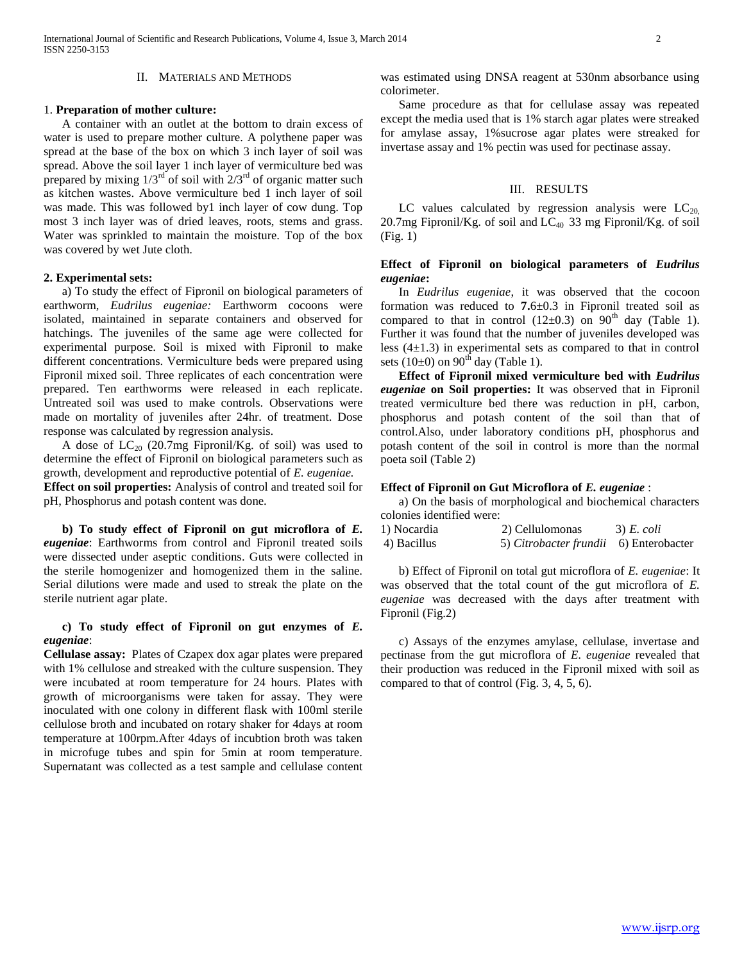#### II. MATERIALS AND METHODS

### 1. **Preparation of mother culture:**

 A container with an outlet at the bottom to drain excess of water is used to prepare mother culture. A polythene paper was spread at the base of the box on which 3 inch layer of soil was spread. Above the soil layer 1 inch layer of vermiculture bed was prepared by mixing  $1/3^{rd}$  of soil with  $2/3^{rd}$  of organic matter such as kitchen wastes. Above vermiculture bed 1 inch layer of soil was made. This was followed by1 inch layer of cow dung. Top most 3 inch layer was of dried leaves, roots, stems and grass. Water was sprinkled to maintain the moisture. Top of the box was covered by wet Jute cloth.

#### **2. Experimental sets:**

 a) To study the effect of Fipronil on biological parameters of earthworm, *Eudrilus eugeniae:* Earthworm cocoons were isolated, maintained in separate containers and observed for hatchings. The juveniles of the same age were collected for experimental purpose. Soil is mixed with Fipronil to make different concentrations. Vermiculture beds were prepared using Fipronil mixed soil. Three replicates of each concentration were prepared. Ten earthworms were released in each replicate. Untreated soil was used to make controls. Observations were made on mortality of juveniles after 24hr. of treatment. Dose response was calculated by regression analysis.

A dose of  $LC_{20}$  (20.7mg Fipronil/Kg. of soil) was used to determine the effect of Fipronil on biological parameters such as growth, development and reproductive potential of *E. eugeniae.*

**Effect on soil properties:** Analysis of control and treated soil for pH, Phosphorus and potash content was done.

 **b) To study effect of Fipronil on gut microflora of** *E. eugeniae*: Earthworms from control and Fipronil treated soils were dissected under aseptic conditions. Guts were collected in the sterile homogenizer and homogenized them in the saline. Serial dilutions were made and used to streak the plate on the sterile nutrient agar plate.

## **c) To study effect of Fipronil on gut enzymes of** *E. eugeniae*:

**Cellulase assay:** Plates of Czapex dox agar plates were prepared with 1% cellulose and streaked with the culture suspension. They were incubated at room temperature for 24 hours. Plates with growth of microorganisms were taken for assay. They were inoculated with one colony in different flask with 100ml sterile cellulose broth and incubated on rotary shaker for 4days at room temperature at 100rpm.After 4days of incubtion broth was taken in microfuge tubes and spin for 5min at room temperature. Supernatant was collected as a test sample and cellulase content was estimated using DNSA reagent at 530nm absorbance using colorimeter.

 Same procedure as that for cellulase assay was repeated except the media used that is 1% starch agar plates were streaked for amylase assay, 1%sucrose agar plates were streaked for invertase assay and 1% pectin was used for pectinase assay.

#### III. RESULTS

LC values calculated by regression analysis were  $LC_{20}$ 20.7mg Fipronil/Kg. of soil and  $LC_{40}$  33 mg Fipronil/Kg. of soil (Fig. 1)

## **Effect of Fipronil on biological parameters of** *Eudrilus eugeniae***:**

 In *Eudrilus eugeniae*, it was observed that the cocoon formation was reduced to **7.**6±0.3 in Fipronil treated soil as compared to that in control  $(12\pm0.3)$  on  $90<sup>th</sup>$  day (Table 1). Further it was found that the number of juveniles developed was less  $(4\pm 1.3)$  in experimental sets as compared to that in control sets (10 $\pm$ 0) on 90<sup>th</sup> day (Table 1).

 **Effect of Fipronil mixed vermiculture bed with** *Eudrilus eugeniae* **on Soil properties:** It was observed that in Fipronil treated vermiculture bed there was reduction in pH, carbon, phosphorus and potash content of the soil than that of control.Also, under laboratory conditions pH, phosphorus and potash content of the soil in control is more than the normal poeta soil (Table 2)

#### **Effect of Fipronil on Gut Microflora of** *E. eugeniae* :

 a) On the basis of morphological and biochemical characters colonies identified were:

| 1) Nocardia | 2) Cellulomonas                        | $3) E.$ coli |
|-------------|----------------------------------------|--------------|
| 4) Bacillus | 5) Citrobacter frundii 6) Enterobacter |              |

 b) Effect of Fipronil on total gut microflora of *E. eugeniae*: It was observed that the total count of the gut microflora of *E. eugeniae* was decreased with the days after treatment with Fipronil (Fig.2)

 c) Assays of the enzymes amylase, cellulase, invertase and pectinase from the gut microflora of *E. eugeniae* revealed that their production was reduced in the Fipronil mixed with soil as compared to that of control (Fig. 3, 4, 5, 6).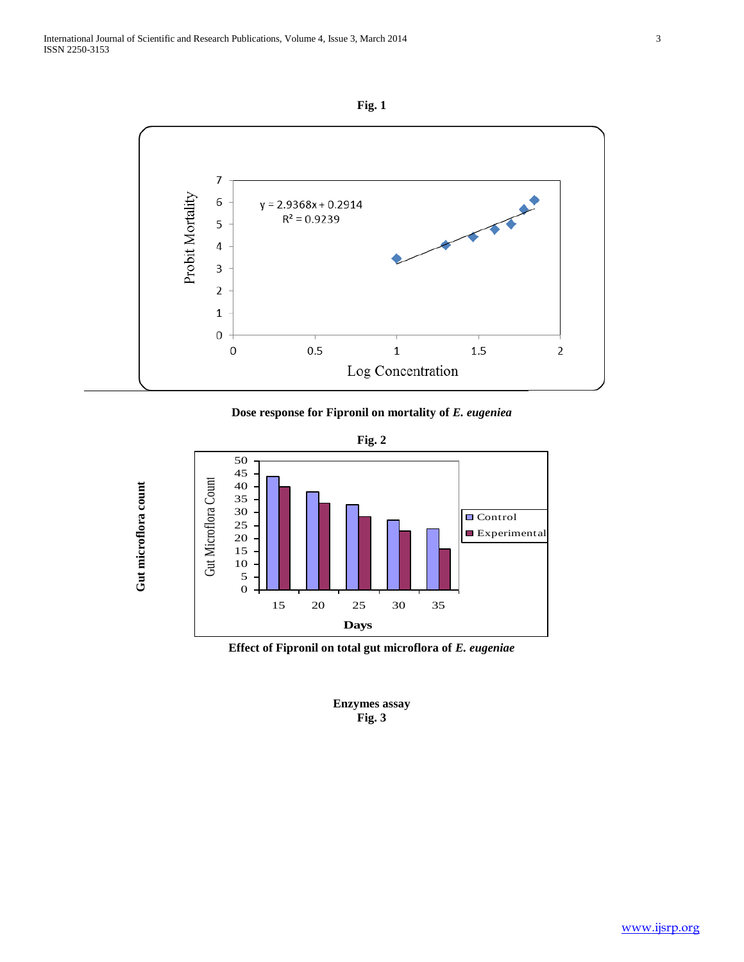**Gut microflora count**





**Dose response for Fipronil on mortality of** *E. eugeniea*

**Fig. 2**



**Effect of Fipronil on total gut microflora of** *E. eugeniae*

**Enzymes assay Fig. 3**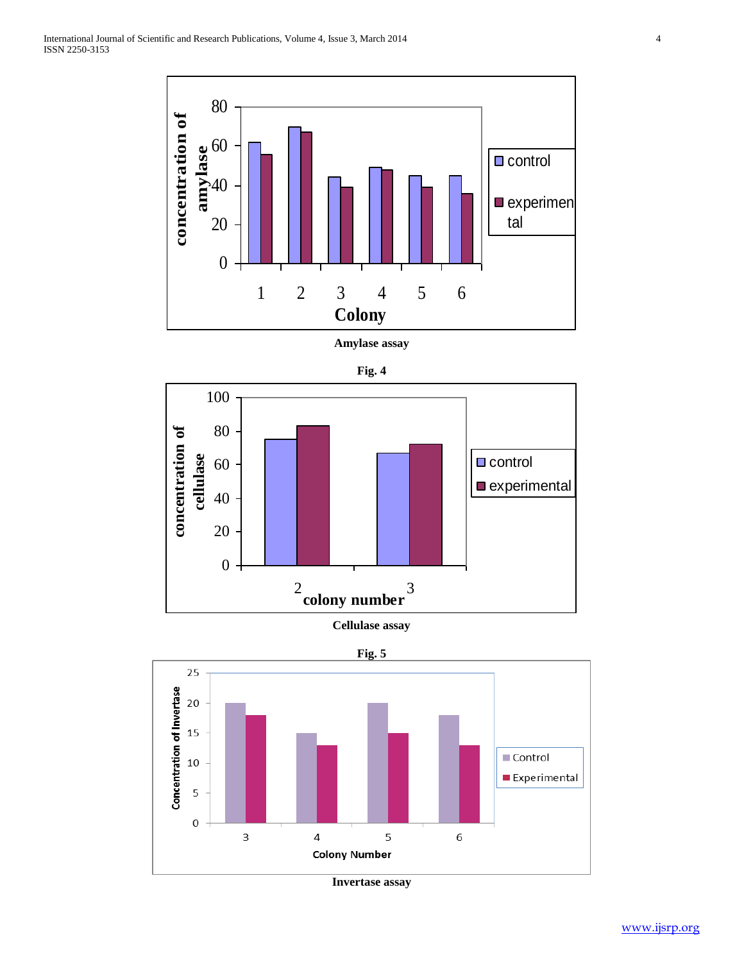

**Amylase assay**







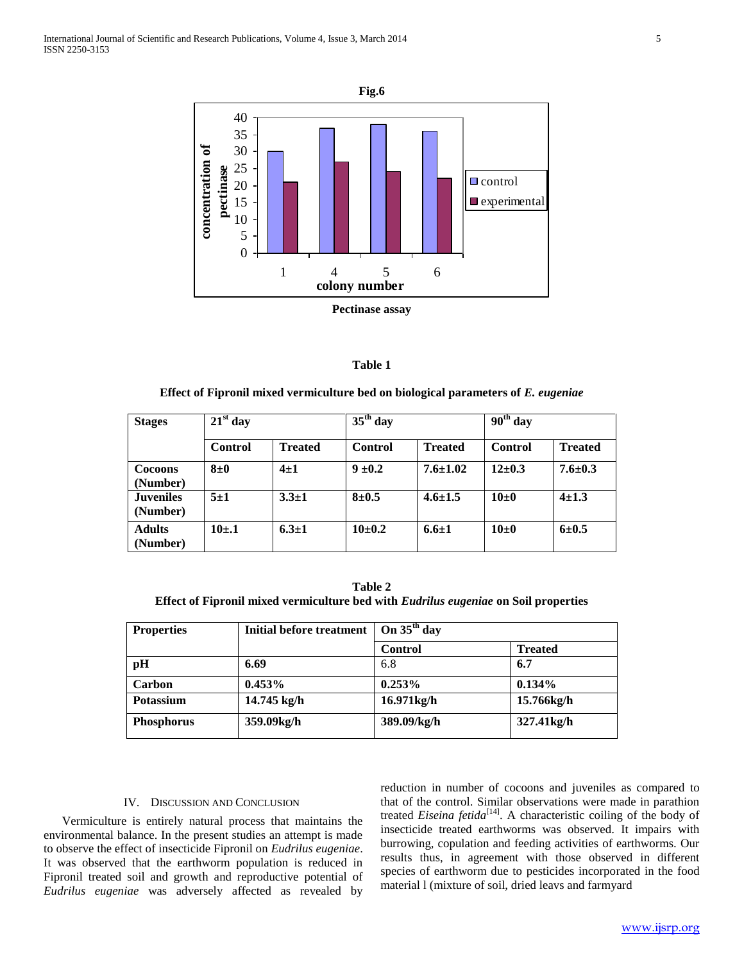



**Effect of Fipronil mixed vermiculture bed on biological parameters of** *E. eugeniae*

| <b>Stages</b>                | $21st$ day |                | $35th$ day     |                | $\overline{90}^{\text{th}}$ day |                |
|------------------------------|------------|----------------|----------------|----------------|---------------------------------|----------------|
|                              | Control    | <b>Treated</b> | <b>Control</b> | <b>Treated</b> | Control                         | <b>Treated</b> |
| <b>Cocoons</b><br>(Number)   | $8\pm0$    | $4\pm1$        | $9 \pm 0.2$    | $7.6 \pm 1.02$ | $12 \pm 0.3$                    | $7.6 \pm 0.3$  |
| <b>Juveniles</b><br>(Number) | $5+1$      | $3.3 \pm 1$    | $8 + 0.5$      | $4.6 \pm 1.5$  | $10\pm0$                        | $4\pm 1.3$     |
| <b>Adults</b><br>(Number)    | $10+1$     | $6.3 \pm 1$    | $10+0.2$       | $6.6 \pm 1$    | $10\pm0$                        | $6 \pm 0.5$    |

**Table 2 Effect of Fipronil mixed vermiculture bed with** *Eudrilus eugeniae* **on Soil properties**

| <b>Properties</b> | Initial before treatment | On $35th$ day  |                |
|-------------------|--------------------------|----------------|----------------|
|                   |                          | <b>Control</b> | <b>Treated</b> |
| pH                | 6.69                     | 6.8            | 6.7            |
| Carbon            | $0.453\%$                | $0.253\%$      | $0.134\%$      |
| <b>Potassium</b>  | 14.745 kg/h              | 16.971kg/h     | 15.766kg/h     |
| <b>Phosphorus</b> | 359.09kg/h               | 389.09/kg/h    | 327.41kg/h     |

## IV. DISCUSSION AND CONCLUSION

 Vermiculture is entirely natural process that maintains the environmental balance. In the present studies an attempt is made to observe the effect of insecticide Fipronil on *Eudrilus eugeniae*. It was observed that the earthworm population is reduced in Fipronil treated soil and growth and reproductive potential of *Eudrilus eugeniae* was adversely affected as revealed by

reduction in number of cocoons and juveniles as compared to that of the control. Similar observations were made in parathion treated *Eiseina fetida*[14]. A characteristic coiling of the body of insecticide treated earthworms was observed. It impairs with burrowing, copulation and feeding activities of earthworms. Our results thus, in agreement with those observed in different species of earthworm due to pesticides incorporated in the food material l (mixture of soil, dried leavs and farmyard